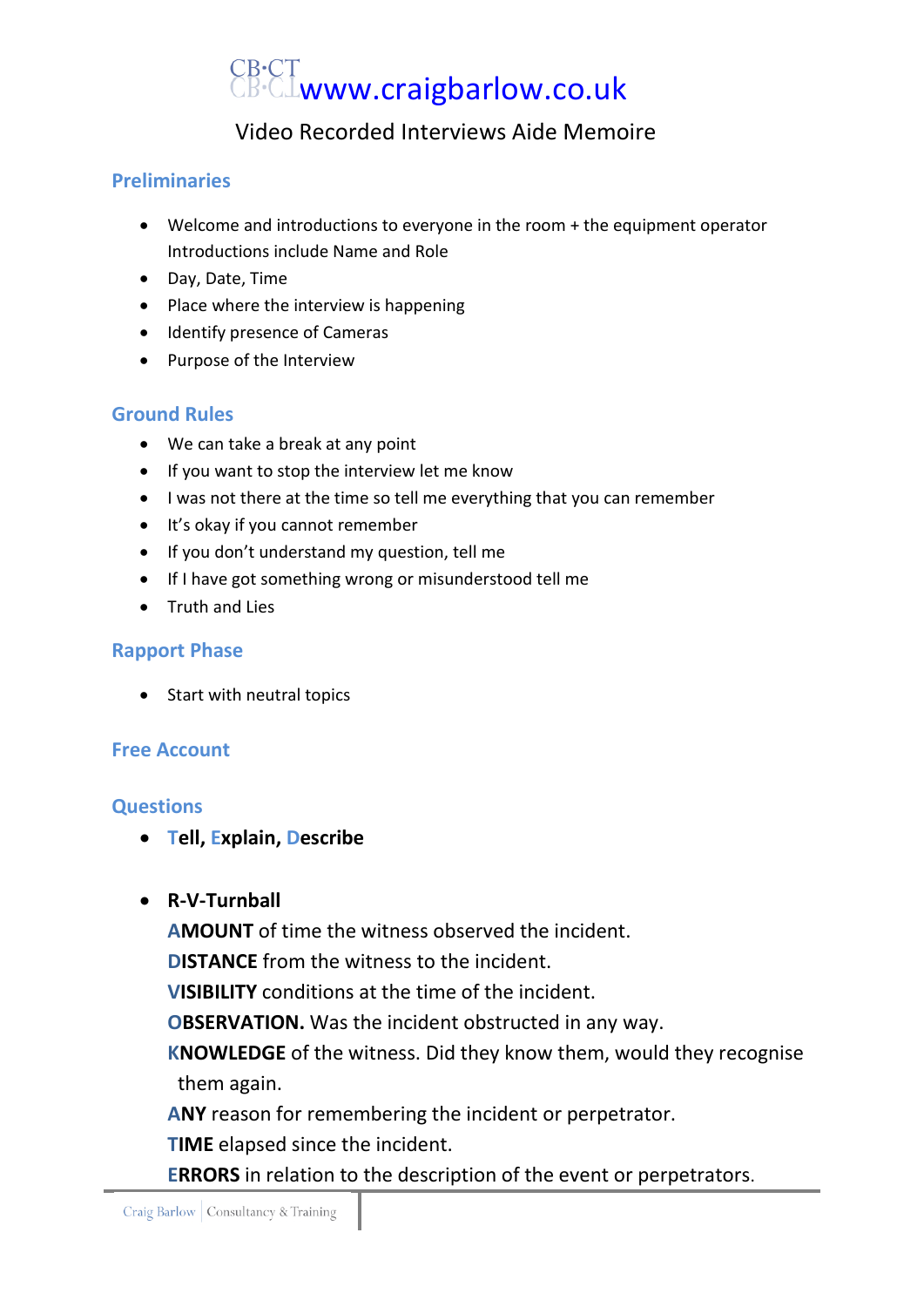# CB·CT<br>CB·CL**www.craigbarlow.co.uk**

## Video Recorded Interviews Aide Memoire

#### **Preliminaries**

- Welcome and introductions to everyone in the room + the equipment operator Introductions include Name and Role
- Day, Date, Time
- Place where the interview is happening
- Identify presence of Cameras
- Purpose of the Interview

#### **Ground Rules**

- We can take a break at any point
- If you want to stop the interview let me know
- I was not there at the time so tell me everything that you can remember
- It's okay if you cannot remember
- If you don't understand my question, tell me
- If I have got something wrong or misunderstood tell me
- Truth and Lies

#### **Rapport Phase**

• Start with neutral topics

### **Free Account**

#### **Questions**

- **Tell, Explain, Describe**
- **R-V-Turnball**

**AMOUNT** of time the witness observed the incident.

**DISTANCE** from the witness to the incident.

**VISIBILITY** conditions at the time of the incident.

**OBSERVATION.** Was the incident obstructed in any way.

**KNOWLEDGE** of the witness. Did they know them, would they recognise them again.

**ANY** reason for remembering the incident or perpetrator.

**TIME** elapsed since the incident.

**ERRORS** in relation to the description of the event or perpetrators.